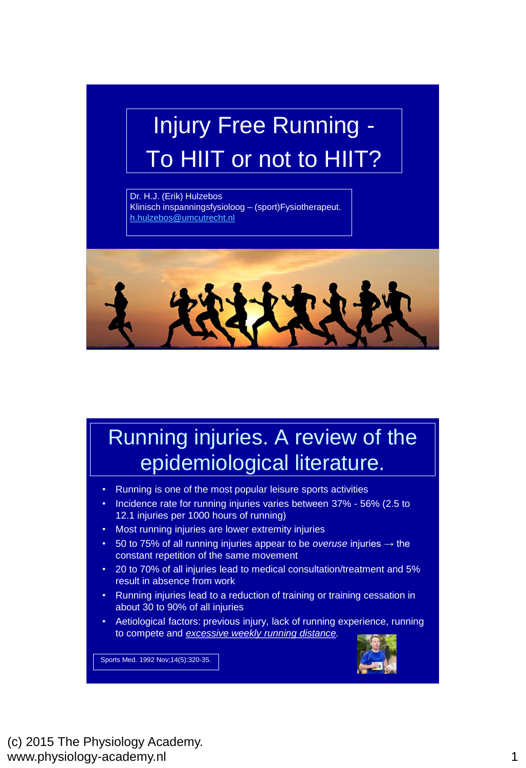# Injury Free Running - To HIIT or not to HIIT?

Dr. H.J. (Erik) Hulzebos Klinisch inspanningsfysioloog – (sport)Fysiotherapeut. [h.hulzebos@umcutrecht.nl](mailto:h.hulzebos@umcutrecht.nl)



## Running injuries. A review of the epidemiological literature.

- Running is one of the most popular leisure sports activities
- Incidence rate for running injuries varies between 37% 56% (2.5 to 12.1 injuries per 1000 hours of running)
- Most running injuries are lower extremity injuries
- 50 to 75% of all running injuries appear to be *overuse* injuries → the constant repetition of the same movement
- 20 to 70% of all injuries lead to medical consultation/treatment and 5% result in absence from work
- Running injuries lead to a reduction of training or training cessation in about 30 to 90% of all injuries
- Aetiological factors: previous injury, lack of running experience, running to compete and *excessive weekly running distance.*

Sports Med. 1992 Nov;14(5):320-35.

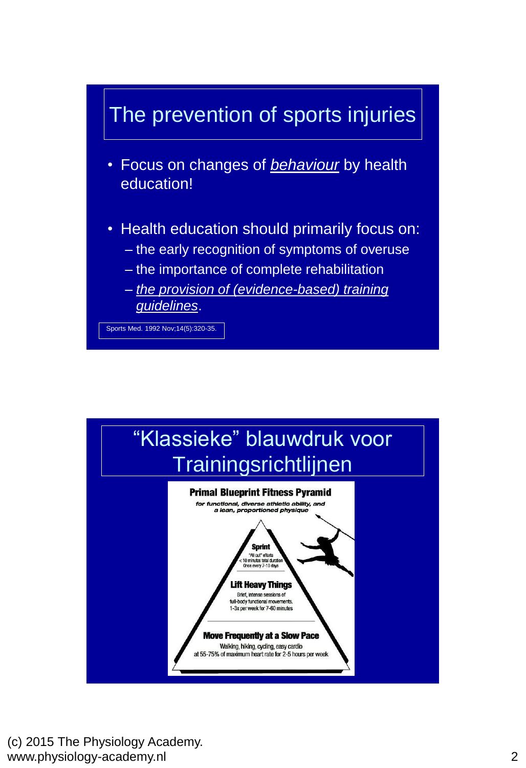

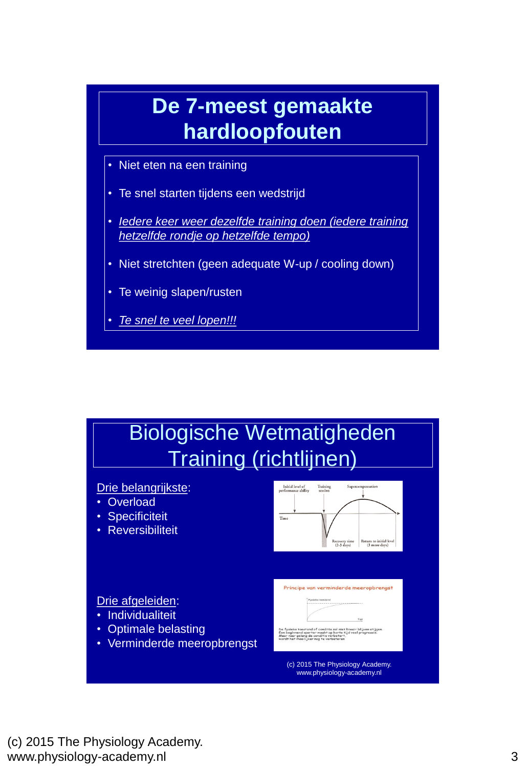

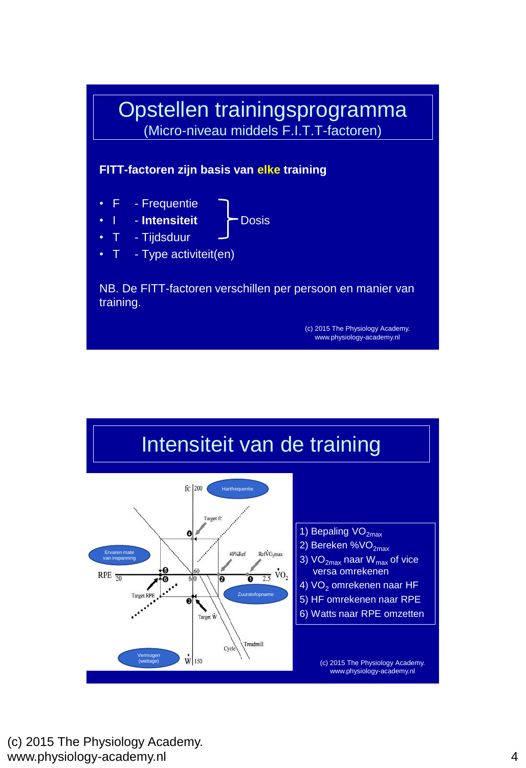

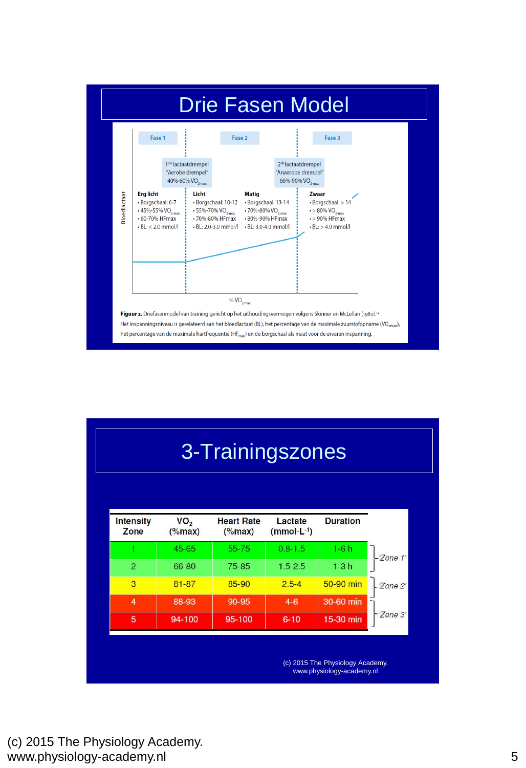

| 3-Trainingszones         |                              |                                |                         |                                  |          |  |  |  |
|--------------------------|------------------------------|--------------------------------|-------------------------|----------------------------------|----------|--|--|--|
|                          |                              |                                |                         |                                  |          |  |  |  |
| <b>Intensity</b><br>Zone | VO <sub>2</sub><br>$(\%max)$ | <b>Heart Rate</b><br>$(\%max)$ | Lactate<br>$(mmol·L-1)$ | <b>Duration</b>                  |          |  |  |  |
|                          | 45-65                        | $55 - 75$                      | $0.8 - 1.5$             | $1-6h$                           |          |  |  |  |
| $\overline{2}$           | 66-80                        | 75-85                          | $1.5 - 2.5$             | $1-3h$                           | 'Zone 1' |  |  |  |
| 3                        | 81-87                        | 85-90                          | $2.5 - 4$               | 50-90 min                        | 'Zone 2' |  |  |  |
| 4                        | 88-93                        | 90-95                          | $4 - 6$                 | 30-60 min                        |          |  |  |  |
| 5                        | 94-100                       | 95-100                         | $6 - 10$                | 15-30 min                        | 'Zone 3' |  |  |  |
|                          |                              |                                |                         | (c) 2015 The Physiology Academy. |          |  |  |  |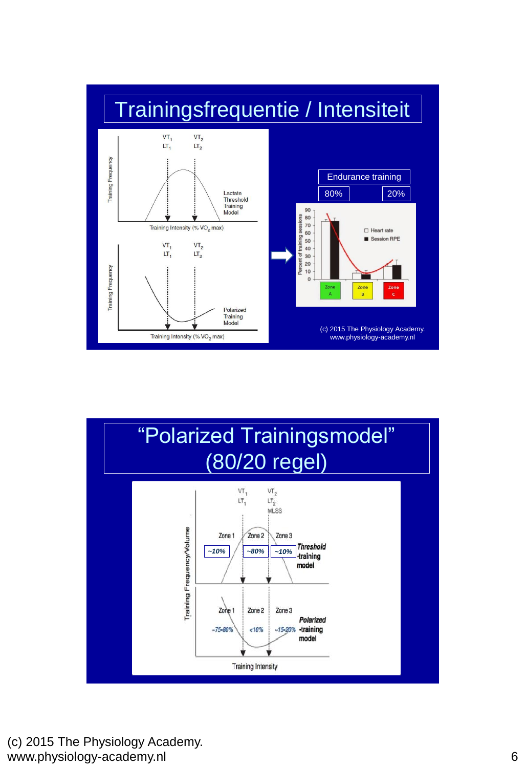

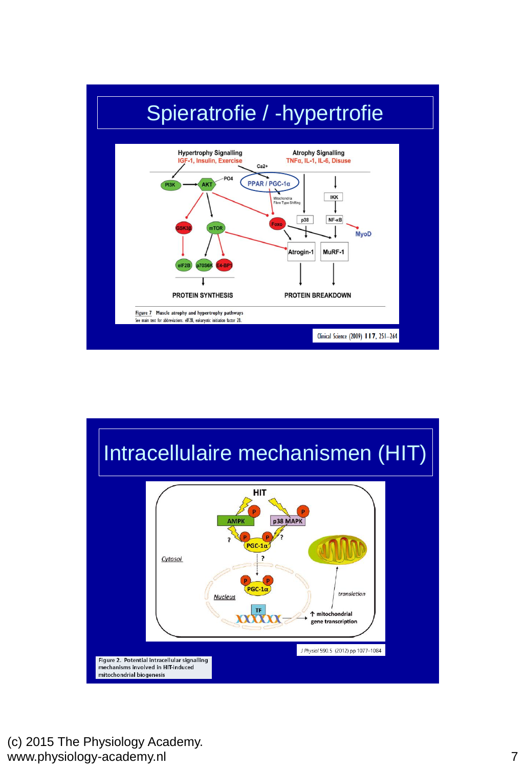

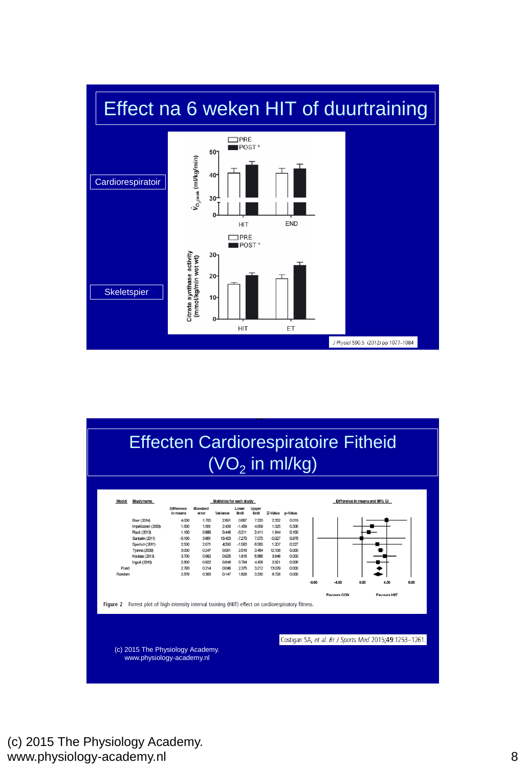

#### Effecten Cardiorespiratoire Fitheid  $(VO<sub>2</sub>$  in ml/kg)

| Model    | Studyname                                                                                    | Statistics for each study     |                   |          |                |                |                 |                | Difference in means and 95% CI |                                                        |      |                     |      |
|----------|----------------------------------------------------------------------------------------------|-------------------------------|-------------------|----------|----------------|----------------|-----------------|----------------|--------------------------------|--------------------------------------------------------|------|---------------------|------|
|          |                                                                                              | <b>Difference</b><br>in means | Standard<br>error | Variance | Lower<br>limit | Upper<br>limit | Z-Value p-Value |                |                                |                                                        |      |                     |      |
|          | Boer (2014)                                                                                  | 4,000                         | 1.700             | 2.891    | 0.667          | 7.333          | 2.352           | 0.019          |                                |                                                        |      |                     |      |
|          | Impellizzeri (2006)                                                                          | 1.600                         | 1.561             | 2436     | $-1.459$       | 4.659          | 1.025           | 0.305          |                                |                                                        |      |                     |      |
|          | Racil (2013)                                                                                 | 1.100                         | 0.669             | 0.448    | $-0.211$       | 2.411          | 1.644           | 0.100          |                                |                                                        |      |                     |      |
|          | Sanbakk (2011)                                                                               | $-0.100$                      | 3.661             | 13,403   | $-7.275$       | 7.075          | $-0.027$        | 0.978          |                                |                                                        |      |                     |      |
|          | Sperlich (2011)                                                                              | 2500                          | 2.071             | 4290     | $-1.560$       | 6.560          | 1.207           | 0.227          |                                |                                                        |      |                     |      |
|          | Tjonna (2009)                                                                                | 3000                          | 0.247             | 0.061    | 2516           | 3.484          | 12.138          | 0.000          |                                |                                                        |      |                     |      |
|          | Koubaa (2013)                                                                                | 3.700                         | 0.962             | 0.925    | 1.815          | 5.585          | 3.846           | 0.000          |                                |                                                        |      |                     |      |
|          | Ingull (2010)                                                                                | 2600                          | 0.922             | 0.849    | 0.794          | 4.406          | 2.821           | 0.005          |                                |                                                        |      |                     |      |
| Fixed    |                                                                                              | 2793                          | 0.214             | 0.046    | 2375           | 3.212          | 13.079          | 0 <sup>0</sup> |                                |                                                        |      |                     |      |
| Random   |                                                                                              | 2579                          | 0.383             | 0.147    | 1,828          | 3.330          | 6.728           | 0.000          |                                |                                                        |      |                     |      |
|          |                                                                                              |                               |                   |          |                |                |                 |                | $-8.00$                        | $-4.00$                                                | 0.00 | 4.00                | 8.00 |
|          |                                                                                              |                               |                   |          |                |                |                 |                |                                | <b>Favours CON</b>                                     |      | <b>Favours HIIT</b> |      |
|          |                                                                                              |                               |                   |          |                |                |                 |                |                                |                                                        |      |                     |      |
| Figure 2 | Forrest plot of high-intensity interval training (HIIT) effect on cardiorespiratory fitness. |                               |                   |          |                |                |                 |                |                                |                                                        |      |                     |      |
|          |                                                                                              |                               |                   |          |                |                |                 |                |                                |                                                        |      |                     |      |
|          |                                                                                              |                               |                   |          |                |                |                 |                |                                |                                                        |      |                     |      |
|          |                                                                                              |                               |                   |          |                |                |                 |                |                                |                                                        |      |                     |      |
|          |                                                                                              |                               |                   |          |                |                |                 |                |                                |                                                        |      |                     |      |
|          |                                                                                              |                               |                   |          |                |                |                 |                |                                | Costigan SA, et al. Br J Sports Med 2015;49:1253-1261. |      |                     |      |
|          |                                                                                              |                               |                   |          |                |                |                 |                |                                |                                                        |      |                     |      |
|          |                                                                                              |                               |                   |          |                |                |                 |                |                                |                                                        |      |                     |      |
|          | (c) 2015 The Physiology Academy.<br>www.physiology-academy.nl                                |                               |                   |          |                |                |                 |                |                                |                                                        |      |                     |      |

(c) 2015 The Physiology Academy. www.physiology-academy.nl 8